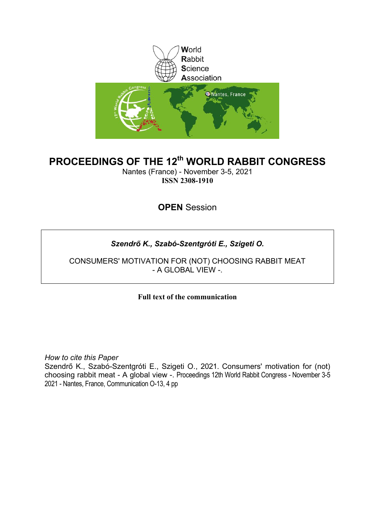

# **PROCEEDINGS OF THE 12th WORLD RABBIT CONGRESS**

Nantes (France) - November 3-5, 2021 **ISSN 2308-1910**

# **OPEN** Session

# *Szendrő K., Szabó-Szentgróti E., Szigeti O.*

CONSUMERS' MOTIVATION FOR (NOT) CHOOSING RABBIT MEAT - A GLOBAL VIEW -.

**Full text of the communication** 

*How to cite this Paper*

Szendrő K., Szabó-Szentgróti E., Szigeti O., 2021. Consumers' motivation for (not) choosing rabbit meat - A global view -. Proceedings 12th World Rabbit Congress - November 3-5 2021 - Nantes, France, Communication O-13, 4 pp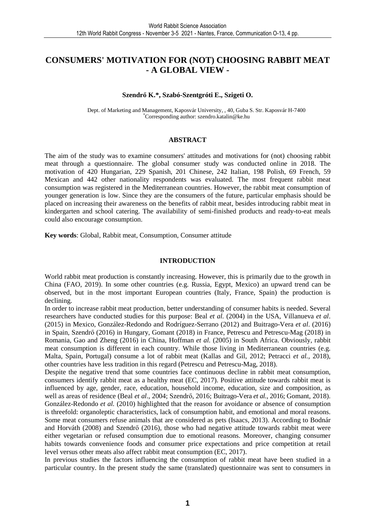# **CONSUMERS' MOTIVATION FOR (NOT) CHOOSING RABBIT MEAT - A GLOBAL VIEW -**

### **Szendrő K.\*, Szabó-Szentgróti E., Szigeti O.**

Dept. of Marketing and Management, Kaposvár University, , 40, Guba S. Str. Kaposvár H-7400 \*Corresponding author: szendro.katalin@ke.hu

#### **ABSTRACT**

The aim of the study was to examine consumers' attitudes and motivations for (not) choosing rabbit meat through a questionnaire. The global consumer study was conducted online in 2018. The motivation of 420 Hungarian, 229 Spanish, 201 Chinese, 242 Italian, 198 Polish, 69 French, 59 Mexican and 442 other nationality respondents was evaluated. The most frequent rabbit meat consumption was registered in the Mediterranean countries. However, the rabbit meat consumption of younger generation is low. Since they are the consumers of the future, particular emphasis should be placed on increasing their awareness on the benefits of rabbit meat, besides introducing rabbit meat in kindergarten and school catering. The availability of semi-finished products and ready-to-eat meals could also encourage consumption.

**Key words**: Global, Rabbit meat, Consumption, Consumer attitude

#### **INTRODUCTION**

World rabbit meat production is constantly increasing. However, this is primarily due to the growth in China (FAO, 2019). In some other countries (e.g. Russia, Egypt, Mexico) an upward trend can be observed, but in the most important European countries (Italy, France, Spain) the production is declining.

In order to increase rabbit meat production, better understanding of consumer habits is needed. Several researchers have conducted studies for this purpose: Beal *et al.* (2004) in the USA, Villanueva *et al*. (2015) in Mexico, González-Redondo and Rodríguez-Serrano (2012) and Buitrago-Vera *et al*. (2016) in Spain, Szendrő (2016) in Hungary, Gomant (2018) in France, Petrescu and Petrescu-Mag (2018) in Romania, Gao and Zheng (2016) in China, Hoffman *et al.* (2005) in South Africa. Obviously, rabbit meat consumption is different in each country. While those living in Mediterranean countries (e.g. Malta, Spain, Portugal) consume a lot of rabbit meat (Kallas and Gil, 2012; Petracci *et al.,* 2018), other countries have less tradition in this regard (Petrescu and Petrescu-Mag, 2018).

Despite the negative trend that some countries face continuous decline in rabbit meat consumption, consumers identify rabbit meat as a healthy meat (EC, 2017). Positive attitude towards rabbit meat is influenced by age, gender, race, education, household income, education, size and composition, as well as areas of residence (Beal *et al*., 2004; Szendrő, 2016; Buitrago-Vera *et al.,* 2016; Gomant, 2018). González-Redondo *et al.* (2010) highlighted that the reason for avoidance or absence of consumption is threefold: organoleptic characteristics, lack of consumption habit, and emotional and moral reasons. Some meat consumers refuse animals that are considered as pets (Isaacs, 2013). According to Bodnár and Horváth (2008) and Szendrő (2016), those who had negative attitude towards rabbit meat were either vegetarian or refused consumption due to emotional reasons. Moreover, changing consumer habits towards convenience foods and consumer price expectations and price competition at retail level versus other meats also affect rabbit meat consumption (EC, 2017).

In previous studies the factors influencing the consumption of rabbit meat have been studied in a particular country. In the present study the same (translated) questionnaire was sent to consumers in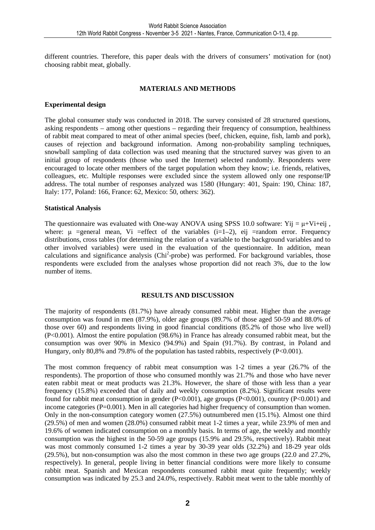different countries. Therefore, this paper deals with the drivers of consumers' motivation for (not) choosing rabbit meat, globally.

## **MATERIALS AND METHODS**

### **Experimental design**

The global consumer study was conducted in 2018. The survey consisted of 28 structured questions, asking respondents – among other questions – regarding their frequency of consumption, healthiness of rabbit meat compared to meat of other animal species (beef, chicken, equine, fish, lamb and pork), causes of rejection and background information. Among non-probability sampling techniques, snowball sampling of data collection was used meaning that the structured survey was given to an initial group of respondents (those who used the Internet) selected randomly. Respondents were encouraged to locate other members of the target population whom they know; i.e. friends, relatives, colleagues, etc. Multiple responses were excluded since the system allowed only one response/IP address. The total number of responses analyzed was 1580 (Hungary: 401, Spain: 190, China: 187, Italy: 177, Poland: 166, France: 62, Mexico: 50, others: 362).

### **Statistical Analysis**

The questionnaire was evaluated with One-way ANOVA using SPSS 10.0 software: Yij =  $\mu$ +Vi+eij, where:  $\mu$  =general mean, Vi =effect of the variables (i=1–2), eij =random error. Frequency distributions, cross tables (for determining the relation of a variable to the background variables and to other involved variables) were used in the evaluation of the questionnaire. In addition, mean calculations and significance analysis (Chi<sup>2</sup>-probe) was performed. For background variables, those respondents were excluded from the analyses whose proportion did not reach 3%, due to the low number of items.

### **RESULTS AND DISCUSSION**

The majority of respondents (81.7%) have already consumed rabbit meat. Higher than the average consumption was found in men (87.9%), older age groups (89.7% of those aged 50-59 and 88.0% of those over 60) and respondents living in good financial conditions (85.2% of those who live well) (P<0.001). Almost the entire population (98.6%) in France has already consumed rabbit meat, but the consumption was over 90% in Mexico (94.9%) and Spain (91.7%). By contrast, in Poland and Hungary, only 80,8% and 79.8% of the population has tasted rabbits, respectively  $(P<0.001)$ .

The most common frequency of rabbit meat consumption was 1-2 times a year (26.7% of the respondents). The proportion of those who consumed monthly was 21.7% and those who have never eaten rabbit meat or meat products was 21.3%. However, the share of those with less than a year frequency (15.8%) exceeded that of daily and weekly consumption (8.2%). Significant results were found for rabbit meat consumption in gender (P<0.001), age groups (P<0.001), country (P<0.001) and income categories (P=0.001). Men in all categories had higher frequency of consumption than women. Only in the non-consumption category women (27.5%) outnumbered men (15.1%). Almost one third (29.5%) of men and women (28.0%) consumed rabbit meat 1-2 times a year, while 23.9% of men and 19.6% of women indicated consumption on a monthly basis. In terms of age, the weekly and monthly consumption was the highest in the 50-59 age groups (15.9% and 29.5%, respectively). Rabbit meat was most commonly consumed 1-2 times a year by 30-39 year olds (32.2%) and 18-29 year olds (29.5%), but non-consumption was also the most common in these two age groups (22.0 and 27.2%, respectively). In general, people living in better financial conditions were more likely to consume rabbit meat. Spanish and Mexican respondents consumed rabbit meat quite frequently; weekly consumption was indicated by 25.3 and 24.0%, respectively. Rabbit meat went to the table monthly of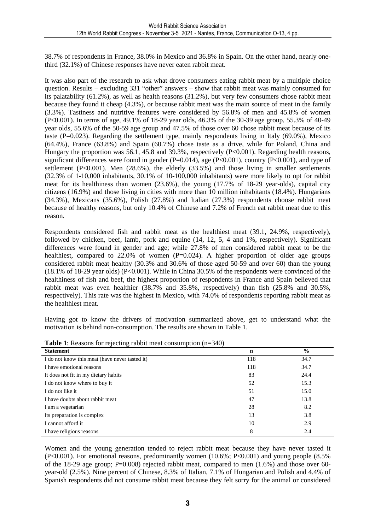38.7% of respondents in France, 38.0% in Mexico and 36.8% in Spain. On the other hand, nearly onethird (32.1%) of Chinese responses have never eaten rabbit meat.

It was also part of the research to ask what drove consumers eating rabbit meat by a multiple choice question. Results – excluding 331 "other" answers – show that rabbit meat was mainly consumed for its palatability (61.2%), as well as health reasons (31.2%), but very few consumers chose rabbit meat because they found it cheap (4.3%), or because rabbit meat was the main source of meat in the family (3.3%). Tastiness and nutritive features were considered by 56.8% of men and 45.8% of women (P<0.001). In terms of age, 49.1% of 18-29 year olds, 46.3% of the 30-39 age group, 55.3% of 40-49 year olds, 55.6% of the 50-59 age group and 47.5% of those over 60 chose rabbit meat because of its taste  $(P=0.023)$ . Regarding the settlement type, mainly respondents living in Italy (69.0%). Mexico (64.4%), France (63.8%) and Spain (60.7%) chose taste as a drive, while for Poland, China and Hungary the proportion was 56.1, 45.8 and 39.3%, respectively (P<0.001). Regarding health reasons, significant differences were found in gender (P=0.014), age (P<0.001), country (P<0.001), and type of settlement (P<0.001). Men (28.6%), the elderly (33.5%) and those living in smaller settlements (32.3% of 1-10,000 inhabitants, 30.1% of 10-100,000 inhabitants) were more likely to opt for rabbit meat for its healthiness than women (23.6%), the young (17.7% of 18-29 year-olds), capital city citizens (16.9%) and those living in cities with more than 10 million inhabitants (18.4%). Hungarians (34.3%), Mexicans (35.6%), Polish (27.8%) and Italian (27.3%) respondents choose rabbit meat because of healthy reasons, but only 10.4% of Chinese and 7.2% of French eat rabbit meat due to this reason.

Respondents considered fish and rabbit meat as the healthiest meat (39.1, 24.9%, respectively), followed by chicken, beef, lamb, pork and equine (14, 12, 5, 4 and 1%, respectively). Significant differences were found in gender and age; while 27.8% of men considered rabbit meat to be the healthiest, compared to  $22.0\%$  of women (P=0.024). A higher proportion of older age groups considered rabbit meat healthy (30.3% and 30.6% of those aged 50-59 and over 60) than the young (18.1% of 18-29 year olds) (P<0.001). While in China 30.5% of the respondents were convinced of the healthiness of fish and beef, the highest proportion of respondents in France and Spain believed that rabbit meat was even healthier (38.7% and 35.8%, respectively) than fish (25.8% and 30.5%, respectively). This rate was the highest in Mexico, with 74.0% of respondents reporting rabbit meat as the healthiest meat.

Having got to know the drivers of motivation summarized above, get to understand what the motivation is behind non-consumption. The results are shown in Table 1.

| J<br>ັ<br><b>Statement</b>                     | $\mathbf n$ | $\frac{0}{0}$ |
|------------------------------------------------|-------------|---------------|
| I do not know this meat (have never tasted it) | 118         | 34.7          |
| I have emotional reasons                       | 118         | 34.7          |
| It does not fit in my dietary habits           | 83          | 24.4          |
| I do not know where to buy it                  | 52          | 15.3          |
| I do not like it                               | 51          | 15.0          |
| I have doubts about rabbit meat                | 47          | 13.8          |
| I am a vegetarian                              | 28          | 8.2           |
| Its preparation is complex                     | 13          | 3.8           |
| I cannot afford it                             | 10          | 2.9           |
| I have religious reasons                       | 8           | 2.4           |

**Table 1**: Reasons for rejecting rabbit meat consumption (n=340)

Women and the young generation tended to reject rabbit meat because they have never tasted it (P<0.001). For emotional reasons, predominantly women (10.6%; P<0.001) and young people (8.5% of the 18-29 age group;  $P=0.008$  rejected rabbit meat, compared to men  $(1.6\%)$  and those over 60year-old (2.5%). Nine percent of Chinese, 8.3% of Italian, 7.1% of Hungarian and Polish and 4.4% of Spanish respondents did not consume rabbit meat because they felt sorry for the animal or considered